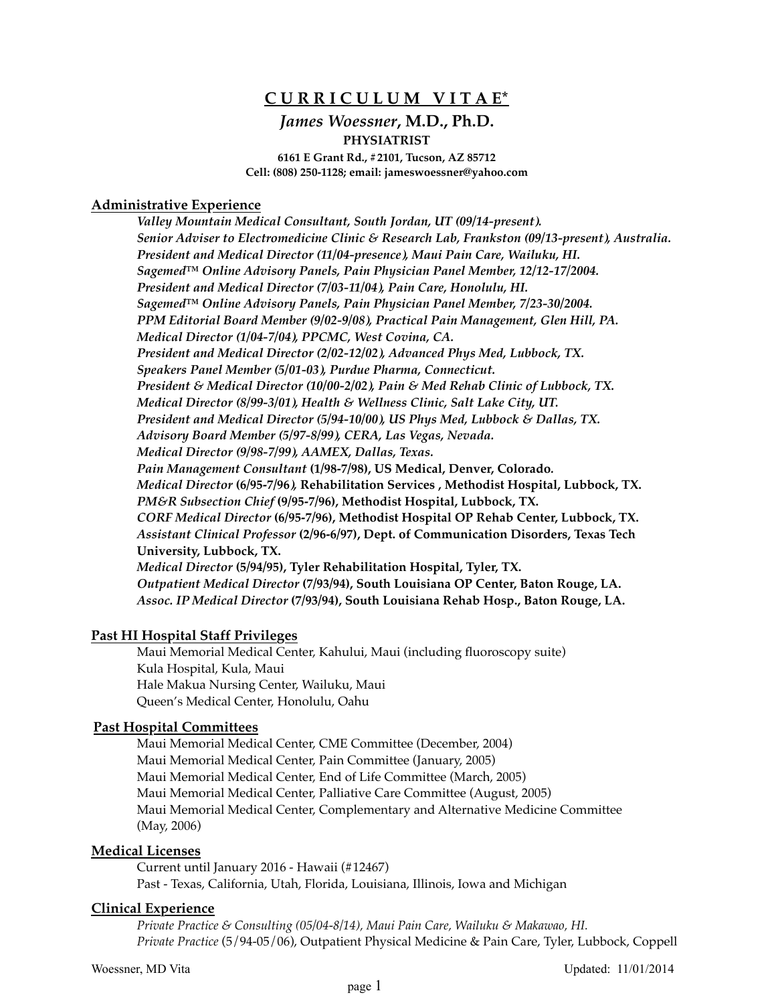# **C U R R I C U L U M V I T A E\***

# *James Woessner***, M.D., Ph.D. PHYSIATRIST**

**6161 E Grant Rd., #2101, Tucson, AZ 85712 Cell: (808) 250-1128; email: jameswoessner@yahoo.com**

### **Administrative Experience**

*Valley Mountain Medical Consultant, South Jordan, UT (09/14-present). Senior Adviser to Electromedicine Clinic & Research Lab, Frankston (09/13-present), Australia. President and Medical Director (11/04-presence), Maui Pain Care, Wailuku, HI. Sagemed™ Online Advisory Panels, Pain Physician Panel Member, 12/12-17/2004. President and Medical Director (7/03-11/04), Pain Care, Honolulu, HI. Sagemed™ Online Advisory Panels, Pain Physician Panel Member, 7/23-30/2004. PPM Editorial Board Member (9/02-9/08), Practical Pain Management, Glen Hill, PA. Medical Director (1/04-7/04), PPCMC, West Covina, CA. President and Medical Director (2/02-12/02), Advanced Phys Med, Lubbock, TX. Speakers Panel Member (5/01-03), Purdue Pharma, Connecticut. President & Medical Director (10/00-2/02), Pain & Med Rehab Clinic of Lubbock, TX. Medical Director (8/99-3/01), Health & Wellness Clinic, Salt Lake City, UT. President and Medical Director (5/94-10/00), US Phys Med, Lubbock & Dallas, TX. Advisory Board Member (5/97-8/99), CERA, Las Vegas, Nevada. Medical Director (9/98-7/99), AAMEX, Dallas, Texas. Pain Management Consultant* **(1/98-7/98), US Medical, Denver, Colorado***. Medical Director* **(6/95-7/96***),* **Rehabilitation Services , Methodist Hospital, Lubbock, TX.** *PM&R Subsection Chief* **(9/95-7/96), Methodist Hospital, Lubbock, TX.** *CORF Medical Director* **(6/95-7/96), Methodist Hospital OP Rehab Center, Lubbock, TX.** *Assistant Clinical Professor* **(2/96-6/97), Dept. of Communication Disorders, Texas Tech University, Lubbock, TX.** *Medical Director* **(5/94/95), Tyler Rehabilitation Hospital, Tyler, TX.** *Outpatient Medical Director* **(7/93/94), South Louisiana OP Center, Baton Rouge, LA.** *Assoc. IP Medical Director* **(7/93/94), South Louisiana Rehab Hosp., Baton Rouge, LA.**

### **Past HI Hospital Staff Privileges**

Maui Memorial Medical Center, Kahului, Maui (including fluoroscopy suite) Kula Hospital, Kula, Maui Hale Makua Nursing Center, Wailuku, Maui Queen's Medical Center, Honolulu, Oahu

### **Past Hospital Committees**

Maui Memorial Medical Center, CME Committee (December, 2004) Maui Memorial Medical Center, Pain Committee (January, 2005) Maui Memorial Medical Center, End of Life Committee (March, 2005) Maui Memorial Medical Center, Palliative Care Committee (August, 2005) Maui Memorial Medical Center, Complementary and Alternative Medicine Committee (May, 2006)

### **Medical Licenses**

Current until January 2016 - Hawaii (#12467) Past - Texas, California, Utah, Florida, Louisiana, Illinois, Iowa and Michigan

### **Clinical Experience**

*Private Practice & Consulting (05/04-8/14), Maui Pain Care, Wailuku & Makawao, HI. Private Practice* (5/94-05/06), Outpatient Physical Medicine & Pain Care, Tyler, Lubbock, Coppell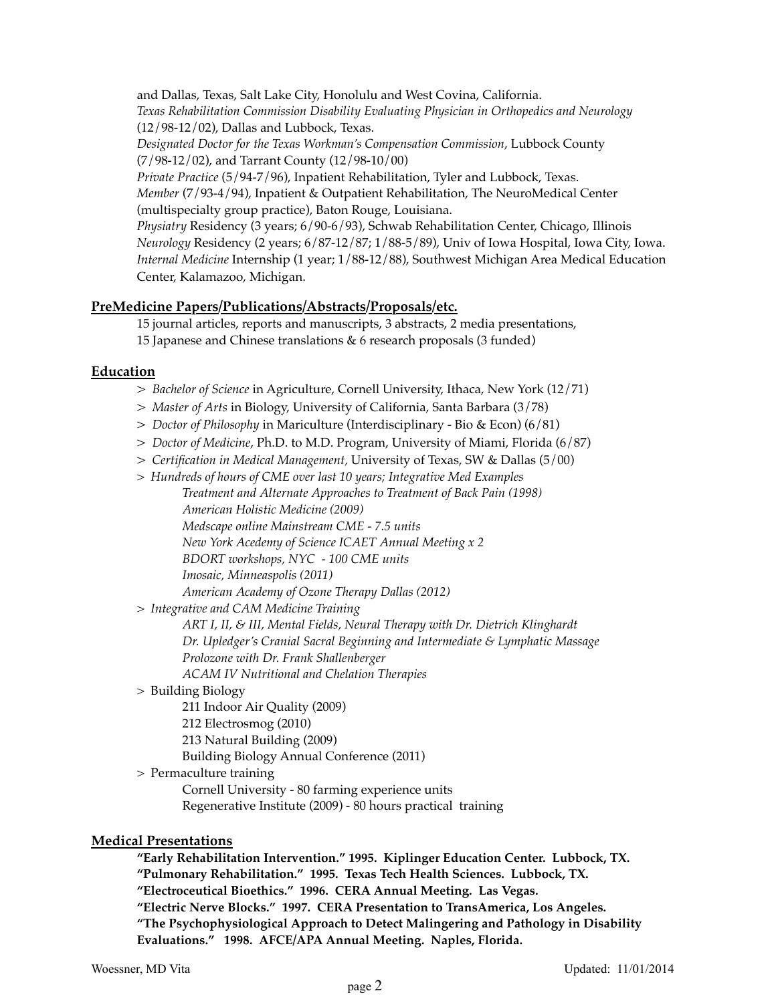and Dallas, Texas, Salt Lake City, Honolulu and West Covina, California.

*Texas Rehabilitation Commission Disability Evaluating Physician in Orthopedics and Neurology*  (12/98-12/02), Dallas and Lubbock, Texas.

*Designated Doctor for the Texas Workman's Compensation Commission*, Lubbock County (7/98-12/02), and Tarrant County (12/98-10/00)

*Private Practice* (5/94-7/96), Inpatient Rehabilitation, Tyler and Lubbock, Texas.

*Member* (7/93-4/94), Inpatient & Outpatient Rehabilitation, The NeuroMedical Center (multispecialty group practice), Baton Rouge, Louisiana.

*Physiatry* Residency (3 years; 6/90-6/93), Schwab Rehabilitation Center, Chicago, Illinois *Neurology* Residency (2 years; 6/87-12/87; 1/88-5/89), Univ of Iowa Hospital, Iowa City, Iowa. *Internal Medicine* Internship (1 year; 1/88-12/88), Southwest Michigan Area Medical Education Center, Kalamazoo, Michigan.

# **PreMedicine Papers/Publications/Abstracts/Proposals/etc.**

15 journal articles, reports and manuscripts, 3 abstracts, 2 media presentations, 15 Japanese and Chinese translations & 6 research proposals (3 funded)

## **Education**

- *> Bachelor of Science* in Agriculture, Cornell University, Ithaca, New York (12/71)
- *> Master of Arts* in Biology, University of California, Santa Barbara (3/78)
- *> Doctor of Philosophy* in Mariculture (Interdisciplinary Bio & Econ) (6/81)
- *> Doctor of Medicine*, Ph.D. to M.D. Program, University of Miami, Florida (6/87)
- *> Certification in Medical Management,* University of Texas, SW & Dallas (5/00)
- *> Hundreds of hours of CME over last 10 years; Integrative Med Examples*

*Treatment and Alternate Approaches to Treatment of Back Pain (1998) American Holistic Medicine (2009) Medscape online Mainstream CME - 7.5 units New York Acedemy of Science ICAET Annual Meeting x 2 BDORT workshops, NYC - 100 CME units Imosaic, Minneaspolis (2011) American Academy of Ozone Therapy Dallas (2012)*

*> Integrative and CAM Medicine Training*

*ART I, II, & III, Mental Fields, Neural Therapy with Dr. Dietrich Klinghardt Dr. Upledger's Cranial Sacral Beginning and Intermediate & Lymphatic Massage Prolozone with Dr. Frank Shallenberger ACAM IV Nutritional and Chelation Therapies*

> Building Biology

211 Indoor Air Quality (2009)

212 Electrosmog (2010)

213 Natural Building (2009)

- Building Biology Annual Conference (2011)
- > Permaculture training

Cornell University - 80 farming experience units Regenerative Institute (2009) - 80 hours practical training

## **Medical Presentations**

**"Early Rehabilitation Intervention." 1995. Kiplinger Education Center. Lubbock, TX. "Pulmonary Rehabilitation." 1995. Texas Tech Health Sciences. Lubbock, TX. "Electroceutical Bioethics." 1996. CERA Annual Meeting. Las Vegas. "Electric Nerve Blocks." 1997. CERA Presentation to TransAmerica, Los Angeles.**

**"The Psychophysiological Approach to Detect Malingering and Pathology in Disability Evaluations." 1998. AFCE/APA Annual Meeting. Naples, Florida.**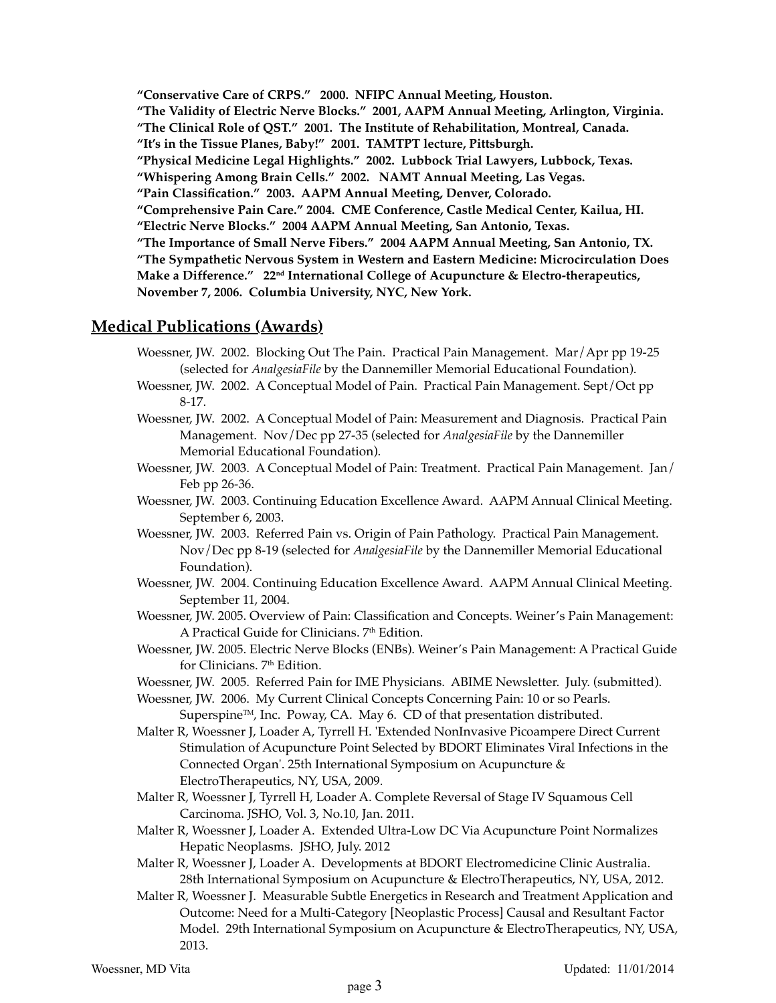**"Conservative Care of CRPS." 2000. NFIPC Annual Meeting, Houston. "The Validity of Electric Nerve Blocks." 2001, AAPM Annual Meeting, Arlington, Virginia. "The Clinical Role of QST." 2001. The Institute of Rehabilitation, Montreal, Canada. "It's in the Tissue Planes, Baby!" 2001. TAMTPT lecture, Pittsburgh. "Physical Medicine Legal Highlights." 2002. Lubbock Trial Lawyers, Lubbock, Texas. "Whispering Among Brain Cells." 2002. NAMT Annual Meeting, Las Vegas. "Pain Classification." 2003. AAPM Annual Meeting, Denver, Colorado. "Comprehensive Pain Care." 2004. CME Conference, Castle Medical Center, Kailua, HI. "Electric Nerve Blocks." 2004 AAPM Annual Meeting, San Antonio, Texas. "The Importance of Small Nerve Fibers." 2004 AAPM Annual Meeting, San Antonio, TX. "The Sympathetic Nervous System in Western and Eastern Medicine: Microcirculation Does**  Make a Difference." 22<sup>nd</sup> International College of Acupuncture & Electro-therapeutics, **November 7, 2006. Columbia University, NYC, New York.**

# **Medical Publications (Awards)**

- Woessner, JW. 2002. Blocking Out The Pain. Practical Pain Management. Mar/Apr pp 19-25 (selected for *AnalgesiaFile* by the Dannemiller Memorial Educational Foundation).
- Woessner, JW. 2002. A Conceptual Model of Pain. Practical Pain Management. Sept/Oct pp 8-17.
- Woessner, JW. 2002. A Conceptual Model of Pain: Measurement and Diagnosis. Practical Pain Management. Nov/Dec pp 27-35 (selected for *AnalgesiaFile* by the Dannemiller Memorial Educational Foundation).
- Woessner, JW. 2003. A Conceptual Model of Pain: Treatment. Practical Pain Management. Jan/ Feb pp 26-36.
- Woessner, JW. 2003. Continuing Education Excellence Award. AAPM Annual Clinical Meeting. September 6, 2003.
- Woessner, JW. 2003. Referred Pain vs. Origin of Pain Pathology. Practical Pain Management. Nov/Dec pp 8-19 (selected for *AnalgesiaFile* by the Dannemiller Memorial Educational Foundation).
- Woessner, JW. 2004. Continuing Education Excellence Award. AAPM Annual Clinical Meeting. September 11, 2004.
- Woessner, JW. 2005. Overview of Pain: Classification and Concepts. Weiner's Pain Management: A Practical Guide for Clinicians. 7<sup>th</sup> Edition.
- Woessner, JW. 2005. Electric Nerve Blocks (ENBs). Weiner's Pain Management: A Practical Guide for Clinicians.  $7<sup>th</sup>$  Edition.
- Woessner, JW. 2005. Referred Pain for IME Physicians. ABIME Newsletter. July. (submitted).
- Woessner, JW. 2006. My Current Clinical Concepts Concerning Pain: 10 or so Pearls. Superspine<sup>TM</sup>, Inc. Poway, CA. May 6. CD of that presentation distributed.
- Malter R, Woessner J, Loader A, Tyrrell H. 'Extended NonInvasive Picoampere Direct Current Stimulation of Acupuncture Point Selected by BDORT Eliminates Viral Infections in the Connected Organ'. 25th International Symposium on Acupuncture & ElectroTherapeutics, NY, USA, 2009.
- Malter R, Woessner J, Tyrrell H, Loader A. Complete Reversal of Stage IV Squamous Cell Carcinoma. JSHO, Vol. 3, No.10, Jan. 2011.
- Malter R, Woessner J, Loader A. Extended Ultra-Low DC Via Acupuncture Point Normalizes Hepatic Neoplasms. JSHO, July. 2012
- Malter R, Woessner J, Loader A. Developments at BDORT Electromedicine Clinic Australia. 28th International Symposium on Acupuncture & ElectroTherapeutics, NY, USA, 2012.
- Malter R, Woessner J. Measurable Subtle Energetics in Research and Treatment Application and Outcome: Need for a Multi-Category [Neoplastic Process] Causal and Resultant Factor Model. 29th International Symposium on Acupuncture & ElectroTherapeutics, NY, USA, 2013.